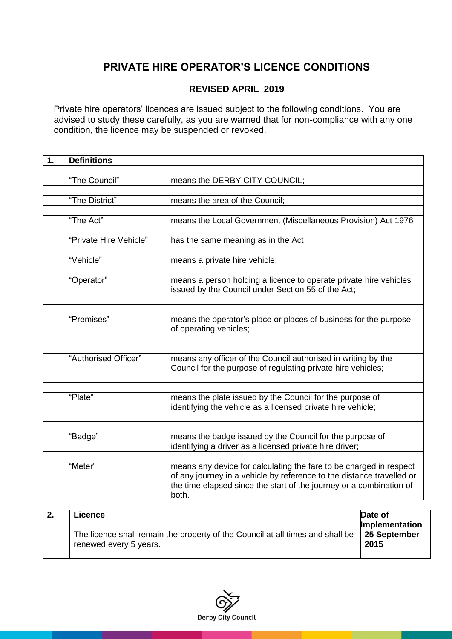## **PRIVATE HIRE OPERATOR'S LICENCE CONDITIONS**

## **REVISED APRIL 2019**

Private hire operators' licences are issued subject to the following conditions. You are advised to study these carefully, as you are warned that for non-compliance with any one condition, the licence may be suspended or revoked.

| 1. | <b>Definitions</b>     |                                                                                                                                              |
|----|------------------------|----------------------------------------------------------------------------------------------------------------------------------------------|
|    |                        |                                                                                                                                              |
|    | "The Council"          | means the DERBY CITY COUNCIL;                                                                                                                |
|    |                        |                                                                                                                                              |
|    | "The District"         | means the area of the Council;                                                                                                               |
|    |                        |                                                                                                                                              |
|    | "The Act"              | means the Local Government (Miscellaneous Provision) Act 1976                                                                                |
|    | "Private Hire Vehicle" | has the same meaning as in the Act                                                                                                           |
|    |                        |                                                                                                                                              |
|    | "Vehicle"              | means a private hire vehicle;                                                                                                                |
|    |                        |                                                                                                                                              |
|    | "Operator"             | means a person holding a licence to operate private hire vehicles                                                                            |
|    |                        | issued by the Council under Section 55 of the Act;                                                                                           |
|    |                        |                                                                                                                                              |
|    |                        |                                                                                                                                              |
|    | "Premises"             | means the operator's place or places of business for the purpose                                                                             |
|    |                        | of operating vehicles;                                                                                                                       |
|    |                        |                                                                                                                                              |
|    | "Authorised Officer"   | means any officer of the Council authorised in writing by the                                                                                |
|    |                        | Council for the purpose of regulating private hire vehicles;                                                                                 |
|    |                        |                                                                                                                                              |
|    |                        |                                                                                                                                              |
|    | "Plate"                | means the plate issued by the Council for the purpose of                                                                                     |
|    |                        | identifying the vehicle as a licensed private hire vehicle;                                                                                  |
|    |                        |                                                                                                                                              |
|    |                        |                                                                                                                                              |
|    | "Badge"                | means the badge issued by the Council for the purpose of                                                                                     |
|    |                        | identifying a driver as a licensed private hire driver;                                                                                      |
|    |                        |                                                                                                                                              |
|    | "Meter"                | means any device for calculating the fare to be charged in respect                                                                           |
|    |                        | of any journey in a vehicle by reference to the distance travelled or<br>the time elapsed since the start of the journey or a combination of |
|    |                        | both.                                                                                                                                        |
|    |                        |                                                                                                                                              |

| -2. | Licence                                                                                                  | Date of<br>Implementation |
|-----|----------------------------------------------------------------------------------------------------------|---------------------------|
|     | The licence shall remain the property of the Council at all times and shall be<br>renewed every 5 years. | 25 September<br>2015      |

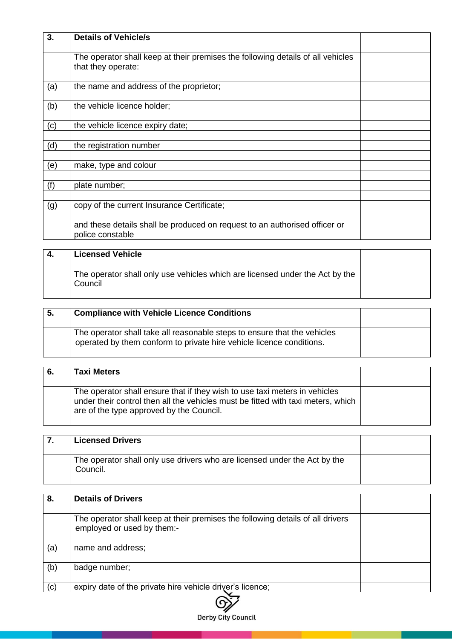| 3.  | <b>Details of Vehicle/s</b>                                                                           |  |
|-----|-------------------------------------------------------------------------------------------------------|--|
|     | The operator shall keep at their premises the following details of all vehicles<br>that they operate: |  |
| (a) | the name and address of the proprietor;                                                               |  |
| (b) | the vehicle licence holder;                                                                           |  |
| (c) | the vehicle licence expiry date;                                                                      |  |
| (d) | the registration number                                                                               |  |
| (e) | make, type and colour                                                                                 |  |
| (f) | plate number;                                                                                         |  |
| (g) | copy of the current Insurance Certificate;                                                            |  |
|     | and these details shall be produced on request to an authorised officer or<br>police constable        |  |

| -4. | <b>Licensed Vehicle</b>                                                                 |  |
|-----|-----------------------------------------------------------------------------------------|--|
|     | The operator shall only use vehicles which are licensed under the Act by the<br>Council |  |

| -5. | <b>Compliance with Vehicle Licence Conditions</b>                                                                                                |  |
|-----|--------------------------------------------------------------------------------------------------------------------------------------------------|--|
|     | The operator shall take all reasonable steps to ensure that the vehicles<br>operated by them conform to private hire vehicle licence conditions. |  |

| -6. | <b>Taxi Meters</b>                                                                                                                                                                                         |  |
|-----|------------------------------------------------------------------------------------------------------------------------------------------------------------------------------------------------------------|--|
|     | The operator shall ensure that if they wish to use taxi meters in vehicles<br>under their control then all the vehicles must be fitted with taxi meters, which<br>are of the type approved by the Council. |  |

| <b>Licensed Drivers</b>                                                               |  |
|---------------------------------------------------------------------------------------|--|
| The operator shall only use drivers who are licensed under the Act by the<br>Council. |  |

| 8.  | <b>Details of Drivers</b>                                                                                    |  |
|-----|--------------------------------------------------------------------------------------------------------------|--|
|     | The operator shall keep at their premises the following details of all drivers<br>employed or used by them:- |  |
| (a) | name and address;                                                                                            |  |
| (b) | badge number;                                                                                                |  |
| (c) | expiry date of the private hire vehicle driver's licence;                                                    |  |

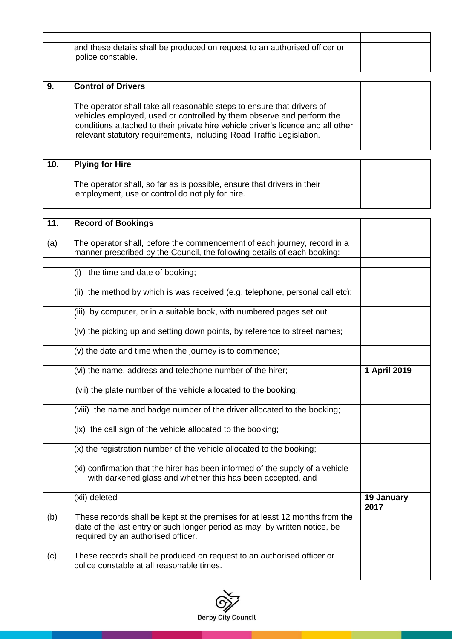| and these details shall be produced on request to an authorised officer or<br>police constable. |  |
|-------------------------------------------------------------------------------------------------|--|

| 9. | <b>Control of Drivers</b>                                                                                                                                                                                                                                                                                   |  |
|----|-------------------------------------------------------------------------------------------------------------------------------------------------------------------------------------------------------------------------------------------------------------------------------------------------------------|--|
|    | The operator shall take all reasonable steps to ensure that drivers of<br>vehicles employed, used or controlled by them observe and perform the<br>conditions attached to their private hire vehicle driver's licence and all other<br>relevant statutory requirements, including Road Traffic Legislation. |  |

| 10. | <b>Plying for Hire</b>                                                                                                     |  |
|-----|----------------------------------------------------------------------------------------------------------------------------|--|
|     | The operator shall, so far as is possible, ensure that drivers in their<br>employment, use or control do not ply for hire. |  |

| 11. | <b>Record of Bookings</b>                                                                                                                                                                       |                    |
|-----|-------------------------------------------------------------------------------------------------------------------------------------------------------------------------------------------------|--------------------|
| (a) | The operator shall, before the commencement of each journey, record in a<br>manner prescribed by the Council, the following details of each booking:-                                           |                    |
|     | the time and date of booking;<br>(i)                                                                                                                                                            |                    |
|     |                                                                                                                                                                                                 |                    |
|     | (ii) the method by which is was received (e.g. telephone, personal call etc):                                                                                                                   |                    |
|     | (iii) by computer, or in a suitable book, with numbered pages set out:                                                                                                                          |                    |
|     | (iv) the picking up and setting down points, by reference to street names;                                                                                                                      |                    |
|     | (v) the date and time when the journey is to commence;                                                                                                                                          |                    |
|     | (vi) the name, address and telephone number of the hirer;                                                                                                                                       | 1 April 2019       |
|     | (vii) the plate number of the vehicle allocated to the booking;                                                                                                                                 |                    |
|     | (viii) the name and badge number of the driver allocated to the booking;                                                                                                                        |                    |
|     | (ix) the call sign of the vehicle allocated to the booking;                                                                                                                                     |                    |
|     | (x) the registration number of the vehicle allocated to the booking;                                                                                                                            |                    |
|     | (xi) confirmation that the hirer has been informed of the supply of a vehicle<br>with darkened glass and whether this has been accepted, and                                                    |                    |
|     | (xii) deleted                                                                                                                                                                                   | 19 January<br>2017 |
| (b) | These records shall be kept at the premises for at least 12 months from the<br>date of the last entry or such longer period as may, by written notice, be<br>required by an authorised officer. |                    |
| (c) | These records shall be produced on request to an authorised officer or<br>police constable at all reasonable times.                                                                             |                    |

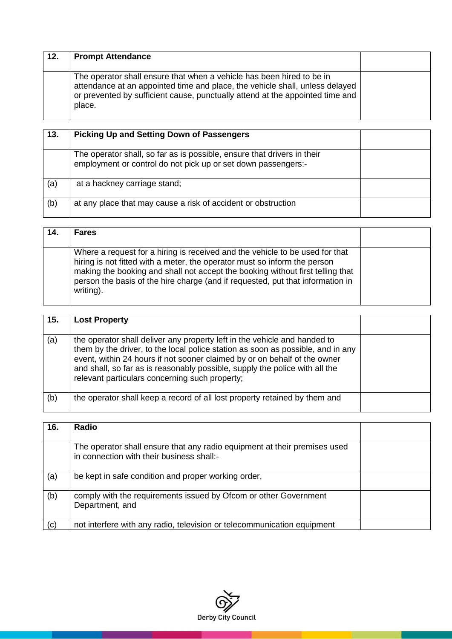| 12. | <b>Prompt Attendance</b>                                                                                                                                                                                                                         |  |
|-----|--------------------------------------------------------------------------------------------------------------------------------------------------------------------------------------------------------------------------------------------------|--|
|     | The operator shall ensure that when a vehicle has been hired to be in<br>attendance at an appointed time and place, the vehicle shall, unless delayed<br>or prevented by sufficient cause, punctually attend at the appointed time and<br>place. |  |

| 13. | <b>Picking Up and Setting Down of Passengers</b>                                                                                         |  |
|-----|------------------------------------------------------------------------------------------------------------------------------------------|--|
|     | The operator shall, so far as is possible, ensure that drivers in their<br>employment or control do not pick up or set down passengers:- |  |
| (a) | at a hackney carriage stand;                                                                                                             |  |
| (b) | at any place that may cause a risk of accident or obstruction                                                                            |  |

| 14. | <b>Fares</b>                                                                                                                                                                                                                                                                                                                               |  |
|-----|--------------------------------------------------------------------------------------------------------------------------------------------------------------------------------------------------------------------------------------------------------------------------------------------------------------------------------------------|--|
|     | Where a request for a hiring is received and the vehicle to be used for that<br>hiring is not fitted with a meter, the operator must so inform the person<br>making the booking and shall not accept the booking without first telling that<br>person the basis of the hire charge (and if requested, put that information in<br>writing). |  |

| 15. | <b>Lost Property</b>                                                                                                                                                                                                                                                                                                                                                       |  |
|-----|----------------------------------------------------------------------------------------------------------------------------------------------------------------------------------------------------------------------------------------------------------------------------------------------------------------------------------------------------------------------------|--|
| (a) | the operator shall deliver any property left in the vehicle and handed to<br>them by the driver, to the local police station as soon as possible, and in any<br>event, within 24 hours if not sooner claimed by or on behalf of the owner<br>and shall, so far as is reasonably possible, supply the police with all the<br>relevant particulars concerning such property; |  |
| (b) | the operator shall keep a record of all lost property retained by them and                                                                                                                                                                                                                                                                                                 |  |

| 16. | Radio                                                                                                                  |  |
|-----|------------------------------------------------------------------------------------------------------------------------|--|
|     | The operator shall ensure that any radio equipment at their premises used<br>in connection with their business shall:- |  |
| (a) | be kept in safe condition and proper working order,                                                                    |  |
| (b) | comply with the requirements issued by Ofcom or other Government<br>Department, and                                    |  |
| (c) | not interfere with any radio, television or telecommunication equipment                                                |  |

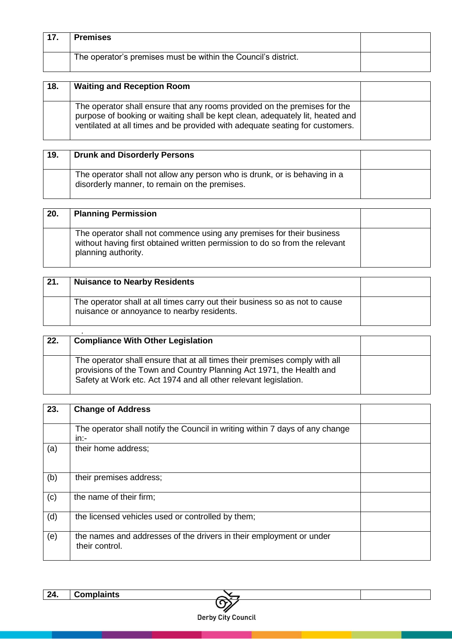| 17. | <b>Premises</b>                                                |  |
|-----|----------------------------------------------------------------|--|
|     | The operator's premises must be within the Council's district. |  |

| 18. | <b>Waiting and Reception Room</b>                                                                                                                                                                                                          |  |
|-----|--------------------------------------------------------------------------------------------------------------------------------------------------------------------------------------------------------------------------------------------|--|
|     | The operator shall ensure that any rooms provided on the premises for the<br>purpose of booking or waiting shall be kept clean, adequately lit, heated and<br>ventilated at all times and be provided with adequate seating for customers. |  |

| 19. | <b>Drunk and Disorderly Persons</b>                                                                                        |  |
|-----|----------------------------------------------------------------------------------------------------------------------------|--|
|     | The operator shall not allow any person who is drunk, or is behaving in a<br>disorderly manner, to remain on the premises. |  |

| 20. | <b>Planning Permission</b>                                                                                                                                                  |  |
|-----|-----------------------------------------------------------------------------------------------------------------------------------------------------------------------------|--|
|     | The operator shall not commence using any premises for their business<br>without having first obtained written permission to do so from the relevant<br>planning authority. |  |

| 21. | <b>Nuisance to Nearby Residents</b>                                                                                       |  |
|-----|---------------------------------------------------------------------------------------------------------------------------|--|
|     | The operator shall at all times carry out their business so as not to cause<br>nuisance or annoyance to nearby residents. |  |

| 22. | <b>Compliance With Other Legislation</b>                                                                                                                                                                               |  |
|-----|------------------------------------------------------------------------------------------------------------------------------------------------------------------------------------------------------------------------|--|
|     | The operator shall ensure that at all times their premises comply with all<br>provisions of the Town and Country Planning Act 1971, the Health and<br>Safety at Work etc. Act 1974 and all other relevant legislation. |  |

| 23. | <b>Change of Address</b>                                                               |  |
|-----|----------------------------------------------------------------------------------------|--|
|     | The operator shall notify the Council in writing within 7 days of any change<br>$in:-$ |  |
| (a) | their home address;                                                                    |  |
| (b) | their premises address;                                                                |  |
| (c) | the name of their firm;                                                                |  |
| (d) | the licensed vehicles used or controlled by them;                                      |  |
| (e) | the names and addresses of the drivers in their employment or under<br>their control.  |  |

 $\bigodot$ Derby City Council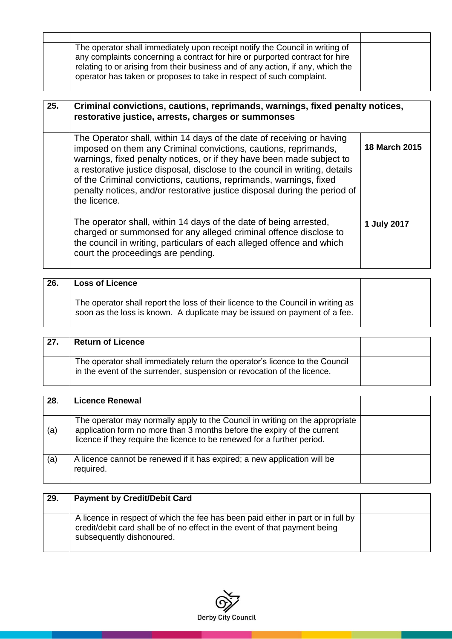| The operator shall immediately upon receipt notify the Council in writing of<br>any complaints concerning a contract for hire or purported contract for hire<br>relating to or arising from their business and of any action, if any, which the<br>operator has taken or proposes to take in respect of such complaint. |  |
|-------------------------------------------------------------------------------------------------------------------------------------------------------------------------------------------------------------------------------------------------------------------------------------------------------------------------|--|

| 25. | Criminal convictions, cautions, reprimands, warnings, fixed penalty notices,<br>restorative justice, arrests, charges or summonses                                                                                                                                                                                                                                                                                                                                  |                      |
|-----|---------------------------------------------------------------------------------------------------------------------------------------------------------------------------------------------------------------------------------------------------------------------------------------------------------------------------------------------------------------------------------------------------------------------------------------------------------------------|----------------------|
|     | The Operator shall, within 14 days of the date of receiving or having<br>imposed on them any Criminal convictions, cautions, reprimands,<br>warnings, fixed penalty notices, or if they have been made subject to<br>a restorative justice disposal, disclose to the council in writing, details<br>of the Criminal convictions, cautions, reprimands, warnings, fixed<br>penalty notices, and/or restorative justice disposal during the period of<br>the licence. | <b>18 March 2015</b> |
|     | The operator shall, within 14 days of the date of being arrested,<br>charged or summonsed for any alleged criminal offence disclose to<br>the council in writing, particulars of each alleged offence and which<br>court the proceedings are pending.                                                                                                                                                                                                               | 1 July 2017          |

| 26. | <b>Loss of Licence</b>                                                                                                                                        |  |
|-----|---------------------------------------------------------------------------------------------------------------------------------------------------------------|--|
|     | The operator shall report the loss of their licence to the Council in writing as<br>soon as the loss is known. A duplicate may be issued on payment of a fee. |  |

| -27. | <b>Return of Licence</b>                                                                                                                               |  |
|------|--------------------------------------------------------------------------------------------------------------------------------------------------------|--|
|      | The operator shall immediately return the operator's licence to the Council<br>in the event of the surrender, suspension or revocation of the licence. |  |

| 28. | <b>Licence Renewal</b>                                                                                                                                                                                                             |  |
|-----|------------------------------------------------------------------------------------------------------------------------------------------------------------------------------------------------------------------------------------|--|
| (a) | The operator may normally apply to the Council in writing on the appropriate<br>application form no more than 3 months before the expiry of the current<br>licence if they require the licence to be renewed for a further period. |  |
| (a) | A licence cannot be renewed if it has expired; a new application will be<br>required.                                                                                                                                              |  |

| 29. | <b>Payment by Credit/Debit Card</b>                                                                                                                                                         |  |
|-----|---------------------------------------------------------------------------------------------------------------------------------------------------------------------------------------------|--|
|     | A licence in respect of which the fee has been paid either in part or in full by<br>credit/debit card shall be of no effect in the event of that payment being<br>subsequently dishonoured. |  |

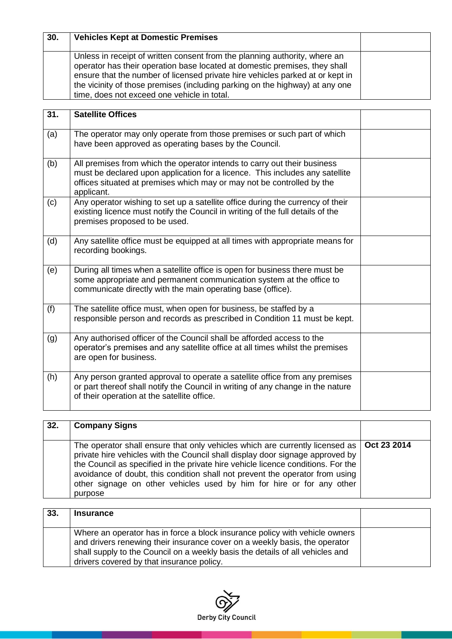| 30. | <b>Vehicles Kept at Domestic Premises</b>                                                                                                                                                                                                                                                                                                                                |  |
|-----|--------------------------------------------------------------------------------------------------------------------------------------------------------------------------------------------------------------------------------------------------------------------------------------------------------------------------------------------------------------------------|--|
|     | Unless in receipt of written consent from the planning authority, where an<br>operator has their operation base located at domestic premises, they shall<br>ensure that the number of licensed private hire vehicles parked at or kept in<br>the vicinity of those premises (including parking on the highway) at any one<br>time, does not exceed one vehicle in total. |  |
| 31. | <b>Satellite Offices</b>                                                                                                                                                                                                                                                                                                                                                 |  |
| (a) | The operator may only operate from those premises or such part of which<br>$\mathbf{r}$ , and the contract of the contract of the contract of the contract of the contract of the contract of the contract of the contract of the contract of the contract of the contract of the contract of the contract o                                                             |  |

|     | have been approved as operating bases by the Council.                                                                                                                                                                                            |  |
|-----|--------------------------------------------------------------------------------------------------------------------------------------------------------------------------------------------------------------------------------------------------|--|
| (b) | All premises from which the operator intends to carry out their business<br>must be declared upon application for a licence. This includes any satellite<br>offices situated at premises which may or may not be controlled by the<br>applicant. |  |
| (c) | Any operator wishing to set up a satellite office during the currency of their<br>existing licence must notify the Council in writing of the full details of the<br>premises proposed to be used.                                                |  |
| (d) | Any satellite office must be equipped at all times with appropriate means for<br>recording bookings.                                                                                                                                             |  |
| (e) | During all times when a satellite office is open for business there must be<br>some appropriate and permanent communication system at the office to<br>communicate directly with the main operating base (office).                               |  |
| (f) | The satellite office must, when open for business, be staffed by a<br>responsible person and records as prescribed in Condition 11 must be kept.                                                                                                 |  |
| (g) | Any authorised officer of the Council shall be afforded access to the<br>operator's premises and any satellite office at all times whilst the premises<br>are open for business.                                                                 |  |
| (h) | Any person granted approval to operate a satellite office from any premises<br>or part thereof shall notify the Council in writing of any change in the nature<br>of their operation at the satellite office.                                    |  |

| 32. | <b>Company Signs</b>                                                                                                                                                                                                                                                                                                                                                                                                                |  |
|-----|-------------------------------------------------------------------------------------------------------------------------------------------------------------------------------------------------------------------------------------------------------------------------------------------------------------------------------------------------------------------------------------------------------------------------------------|--|
|     | The operator shall ensure that only vehicles which are currently licensed as   Oct 23 2014<br>private hire vehicles with the Council shall display door signage approved by<br>the Council as specified in the private hire vehicle licence conditions. For the<br>avoidance of doubt, this condition shall not prevent the operator from using<br>other signage on other vehicles used by him for hire or for any other<br>purpose |  |

| 33. | <b>Insurance</b>                                                                                                                                                                                                                                                                        |  |
|-----|-----------------------------------------------------------------------------------------------------------------------------------------------------------------------------------------------------------------------------------------------------------------------------------------|--|
|     | Where an operator has in force a block insurance policy with vehicle owners<br>and drivers renewing their insurance cover on a weekly basis, the operator<br>shall supply to the Council on a weekly basis the details of all vehicles and<br>drivers covered by that insurance policy. |  |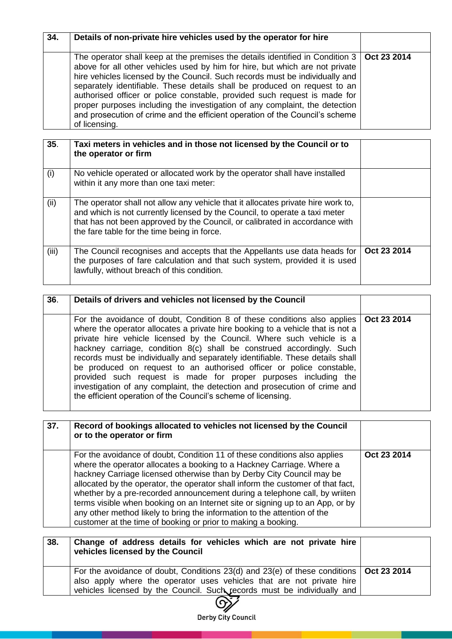| The operator shall keep at the premises the details identified in Condition 3   Oct 23 2014<br>above for all other vehicles used by him for hire, but which are not private<br>hire vehicles licensed by the Council. Such records must be individually and<br>separately identifiable. These details shall be produced on request to an<br>authorised officer or police constable, provided such request is made for<br>proper purposes including the investigation of any complaint, the detection<br>and prosecution of crime and the efficient operation of the Council's scheme<br>of licensing. | 34. | Details of non-private hire vehicles used by the operator for hire |  |
|-------------------------------------------------------------------------------------------------------------------------------------------------------------------------------------------------------------------------------------------------------------------------------------------------------------------------------------------------------------------------------------------------------------------------------------------------------------------------------------------------------------------------------------------------------------------------------------------------------|-----|--------------------------------------------------------------------|--|
|                                                                                                                                                                                                                                                                                                                                                                                                                                                                                                                                                                                                       |     |                                                                    |  |

| 35.   | Taxi meters in vehicles and in those not licensed by the Council or to<br>the operator or firm                                                                                                                                                                                                |             |
|-------|-----------------------------------------------------------------------------------------------------------------------------------------------------------------------------------------------------------------------------------------------------------------------------------------------|-------------|
| (i)   | No vehicle operated or allocated work by the operator shall have installed<br>within it any more than one taxi meter:                                                                                                                                                                         |             |
| (ii)  | The operator shall not allow any vehicle that it allocates private hire work to,<br>and which is not currently licensed by the Council, to operate a taxi meter<br>that has not been approved by the Council, or calibrated in accordance with<br>the fare table for the time being in force. |             |
| (iii) | The Council recognises and accepts that the Appellants use data heads for<br>the purposes of fare calculation and that such system, provided it is used<br>lawfully, without breach of this condition.                                                                                        | Oct 23 2014 |

| 36. | Details of drivers and vehicles not licensed by the Council                                                                                                                                                                                                                                                                                                                                                                                                                                                                                                                                                                                                                                           |  |
|-----|-------------------------------------------------------------------------------------------------------------------------------------------------------------------------------------------------------------------------------------------------------------------------------------------------------------------------------------------------------------------------------------------------------------------------------------------------------------------------------------------------------------------------------------------------------------------------------------------------------------------------------------------------------------------------------------------------------|--|
|     | For the avoidance of doubt, Condition 8 of these conditions also applies   Oct 23 2014<br>where the operator allocates a private hire booking to a vehicle that is not a<br>private hire vehicle licensed by the Council. Where such vehicle is a<br>hackney carriage, condition 8(c) shall be construed accordingly. Such<br>records must be individually and separately identifiable. These details shall<br>be produced on request to an authorised officer or police constable,<br>provided such request is made for proper purposes including the<br>investigation of any complaint, the detection and prosecution of crime and<br>the efficient operation of the Council's scheme of licensing. |  |

| 37. | Record of bookings allocated to vehicles not licensed by the Council<br>or to the operator or firm                                                                                                                                                                                                                                                                                                                                                                                                                                                                                                                         |             |
|-----|----------------------------------------------------------------------------------------------------------------------------------------------------------------------------------------------------------------------------------------------------------------------------------------------------------------------------------------------------------------------------------------------------------------------------------------------------------------------------------------------------------------------------------------------------------------------------------------------------------------------------|-------------|
|     | For the avoidance of doubt, Condition 11 of these conditions also applies<br>where the operator allocates a booking to a Hackney Carriage. Where a<br>hackney Carriage licensed otherwise than by Derby City Council may be<br>allocated by the operator, the operator shall inform the customer of that fact,<br>whether by a pre-recorded announcement during a telephone call, by wriiten<br>terms visible when booking on an Internet site or signing up to an App, or by<br>any other method likely to bring the information to the attention of the<br>customer at the time of booking or prior to making a booking. | Oct 23 2014 |

| 38. | Change of address details for vehicles which are not private hire<br>vehicles licensed by the Council                                                                                                                                              |  |
|-----|----------------------------------------------------------------------------------------------------------------------------------------------------------------------------------------------------------------------------------------------------|--|
|     | For the avoidance of doubt, Conditions 23(d) and 23(e) of these conditions $\vert$ Oct 23 2014<br>also apply where the operator uses vehicles that are not private hire<br>vehicles licensed by the Council. Such records must be individually and |  |